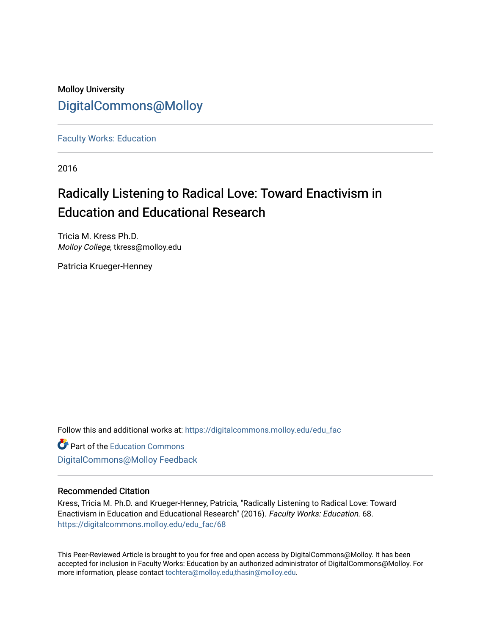### Molloy University [DigitalCommons@Molloy](https://digitalcommons.molloy.edu/)

[Faculty Works: Education](https://digitalcommons.molloy.edu/edu_fac) 

2016

## Radically Listening to Radical Love: Toward Enactivism in Education and Educational Research

Tricia M. Kress Ph.D. Molloy College, tkress@molloy.edu

Patricia Krueger-Henney

Follow this and additional works at: [https://digitalcommons.molloy.edu/edu\\_fac](https://digitalcommons.molloy.edu/edu_fac?utm_source=digitalcommons.molloy.edu%2Fedu_fac%2F68&utm_medium=PDF&utm_campaign=PDFCoverPages)

**Part of the [Education Commons](https://network.bepress.com/hgg/discipline/784?utm_source=digitalcommons.molloy.edu%2Fedu_fac%2F68&utm_medium=PDF&utm_campaign=PDFCoverPages)** [DigitalCommons@Molloy Feedback](https://molloy.libwizard.com/f/dcfeedback)

#### Recommended Citation

Kress, Tricia M. Ph.D. and Krueger-Henney, Patricia, "Radically Listening to Radical Love: Toward Enactivism in Education and Educational Research" (2016). Faculty Works: Education. 68. [https://digitalcommons.molloy.edu/edu\\_fac/68](https://digitalcommons.molloy.edu/edu_fac/68?utm_source=digitalcommons.molloy.edu%2Fedu_fac%2F68&utm_medium=PDF&utm_campaign=PDFCoverPages) 

This Peer-Reviewed Article is brought to you for free and open access by DigitalCommons@Molloy. It has been accepted for inclusion in Faculty Works: Education by an authorized administrator of DigitalCommons@Molloy. For more information, please contact [tochtera@molloy.edu,thasin@molloy.edu.](mailto:tochtera@molloy.edu,thasin@molloy.edu)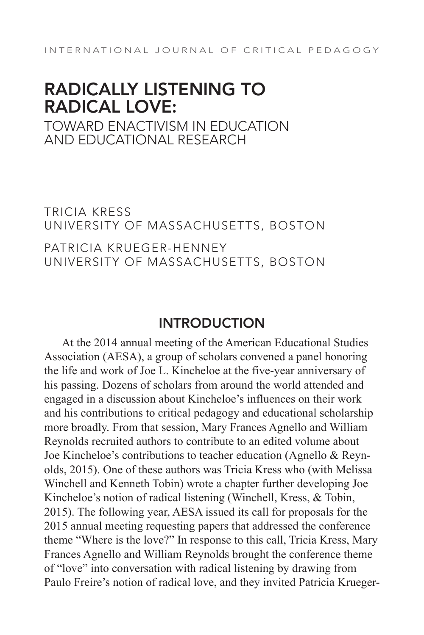# RADICALLY LISTENING TO RADICAL LOVE:

TOWARD ENACTIVISM IN EDUCATION AND EDUCATIONAL RESEARCH

TRICIA KRESS UNIVERSITY OF MASSACHUSETTS, BOSTON

PATRICIA KRUEGER-HENNEY UNIVERSITY OF MASSACHUSETTS, BOSTON

#### INTRODUCTION

At the 2014 annual meeting of the American Educational Studies Association (AESA), a group of scholars convened a panel honoring the life and work of Joe L. Kincheloe at the five-year anniversary of his passing. Dozens of scholars from around the world attended and engaged in a discussion about Kincheloe's influences on their work and his contributions to critical pedagogy and educational scholarship more broadly. From that session, Mary Frances Agnello and William Reynolds recruited authors to contribute to an edited volume about Joe Kincheloe's contributions to teacher education (Agnello & Reynolds, 2015). One of these authors was Tricia Kress who (with Melissa Winchell and Kenneth Tobin) wrote a chapter further developing Joe Kincheloe's notion of radical listening (Winchell, Kress, & Tobin, 2015). The following year, AESA issued its call for proposals for the 2015 annual meeting requesting papers that addressed the conference theme "Where is the love?" In response to this call, Tricia Kress, Mary Frances Agnello and William Reynolds brought the conference theme of "love" into conversation with radical listening by drawing from Paulo Freire's notion of radical love, and they invited Patricia Krueger-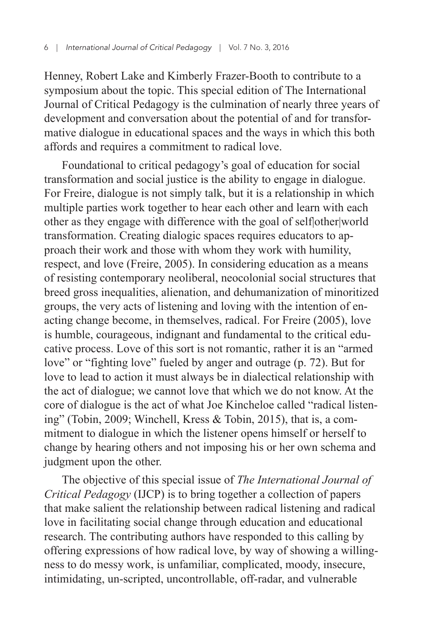Henney, Robert Lake and Kimberly Frazer-Booth to contribute to a symposium about the topic. This special edition of The International Journal of Critical Pedagogy is the culmination of nearly three years of development and conversation about the potential of and for transformative dialogue in educational spaces and the ways in which this both affords and requires a commitment to radical love.

Foundational to critical pedagogy's goal of education for social transformation and social justice is the ability to engage in dialogue. For Freire, dialogue is not simply talk, but it is a relationship in which multiple parties work together to hear each other and learn with each other as they engage with difference with the goal of self|other|world transformation. Creating dialogic spaces requires educators to approach their work and those with whom they work with humility, respect, and love (Freire, 2005). In considering education as a means of resisting contemporary neoliberal, neocolonial social structures that breed gross inequalities, alienation, and dehumanization of minoritized groups, the very acts of listening and loving with the intention of enacting change become, in themselves, radical. For Freire (2005), love is humble, courageous, indignant and fundamental to the critical educative process. Love of this sort is not romantic, rather it is an "armed love" or "fighting love" fueled by anger and outrage (p. 72). But for love to lead to action it must always be in dialectical relationship with the act of dialogue; we cannot love that which we do not know. At the core of dialogue is the act of what Joe Kincheloe called "radical listening" (Tobin, 2009; Winchell, Kress & Tobin, 2015), that is, a commitment to dialogue in which the listener opens himself or herself to change by hearing others and not imposing his or her own schema and judgment upon the other.

The objective of this special issue of *The International Journal of Critical Pedagogy* (IJCP) is to bring together a collection of papers that make salient the relationship between radical listening and radical love in facilitating social change through education and educational research. The contributing authors have responded to this calling by offering expressions of how radical love, by way of showing a willingness to do messy work, is unfamiliar, complicated, moody, insecure, intimidating, un-scripted, uncontrollable, off-radar, and vulnerable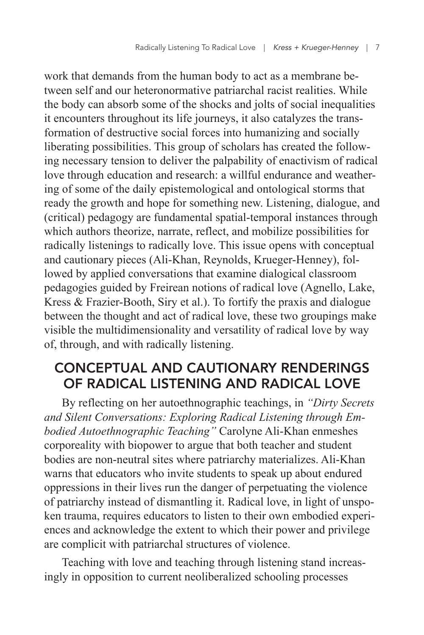work that demands from the human body to act as a membrane between self and our heteronormative patriarchal racist realities. While the body can absorb some of the shocks and jolts of social inequalities it encounters throughout its life journeys, it also catalyzes the transformation of destructive social forces into humanizing and socially liberating possibilities. This group of scholars has created the following necessary tension to deliver the palpability of enactivism of radical love through education and research: a willful endurance and weathering of some of the daily epistemological and ontological storms that ready the growth and hope for something new. Listening, dialogue, and (critical) pedagogy are fundamental spatial-temporal instances through which authors theorize, narrate, reflect, and mobilize possibilities for radically listenings to radically love. This issue opens with conceptual and cautionary pieces (Ali-Khan, Reynolds, Krueger-Henney), followed by applied conversations that examine dialogical classroom pedagogies guided by Freirean notions of radical love (Agnello, Lake, Kress & Frazier-Booth, Siry et al.). To fortify the praxis and dialogue between the thought and act of radical love, these two groupings make visible the multidimensionality and versatility of radical love by way of, through, and with radically listening.

### CONCEPTUAL AND CAUTIONARY RENDERINGS OF RADICAL LISTENING AND RADICAL LOVE

By reflecting on her autoethnographic teachings, in *"Dirty Secrets and Silent Conversations: Exploring Radical Listening through Embodied Autoethnographic Teaching"* Carolyne Ali-Khan enmeshes corporeality with biopower to argue that both teacher and student bodies are non-neutral sites where patriarchy materializes. Ali-Khan warns that educators who invite students to speak up about endured oppressions in their lives run the danger of perpetuating the violence of patriarchy instead of dismantling it. Radical love, in light of unspoken trauma, requires educators to listen to their own embodied experiences and acknowledge the extent to which their power and privilege are complicit with patriarchal structures of violence.

Teaching with love and teaching through listening stand increasingly in opposition to current neoliberalized schooling processes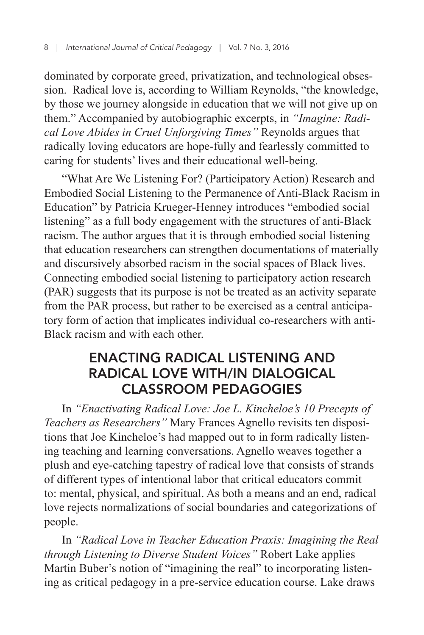dominated by corporate greed, privatization, and technological obsession. Radical love is, according to William Reynolds, "the knowledge, by those we journey alongside in education that we will not give up on them." Accompanied by autobiographic excerpts, in *"Imagine: Radical Love Abides in Cruel Unforgiving Times"* Reynolds argues that radically loving educators are hope-fully and fearlessly committed to caring for students' lives and their educational well-being.

"What Are We Listening For? (Participatory Action) Research and Embodied Social Listening to the Permanence of Anti-Black Racism in Education" by Patricia Krueger-Henney introduces "embodied social listening" as a full body engagement with the structures of anti-Black racism. The author argues that it is through embodied social listening that education researchers can strengthen documentations of materially and discursively absorbed racism in the social spaces of Black lives. Connecting embodied social listening to participatory action research (PAR) suggests that its purpose is not be treated as an activity separate from the PAR process, but rather to be exercised as a central anticipatory form of action that implicates individual co-researchers with anti-Black racism and with each other.

#### ENACTING RADICAL LISTENING AND RADICAL LOVE WITH/IN DIALOGICAL CLASSROOM PEDAGOGIES

In *"Enactivating Radical Love: Joe L. Kincheloe's 10 Precepts of Teachers as Researchers"* Mary Frances Agnello revisits ten dispositions that Joe Kincheloe's had mapped out to in|form radically listening teaching and learning conversations. Agnello weaves together a plush and eye-catching tapestry of radical love that consists of strands of different types of intentional labor that critical educators commit to: mental, physical, and spiritual. As both a means and an end, radical love rejects normalizations of social boundaries and categorizations of people.

In *"Radical Love in Teacher Education Praxis: Imagining the Real through Listening to Diverse Student Voices"* Robert Lake applies Martin Buber's notion of "imagining the real" to incorporating listening as critical pedagogy in a pre-service education course. Lake draws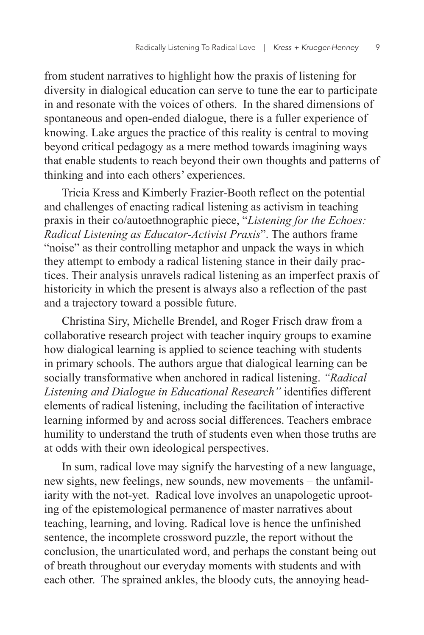from student narratives to highlight how the praxis of listening for diversity in dialogical education can serve to tune the ear to participate in and resonate with the voices of others. In the shared dimensions of spontaneous and open-ended dialogue, there is a fuller experience of knowing. Lake argues the practice of this reality is central to moving beyond critical pedagogy as a mere method towards imagining ways that enable students to reach beyond their own thoughts and patterns of thinking and into each others' experiences.

Tricia Kress and Kimberly Frazier-Booth reflect on the potential and challenges of enacting radical listening as activism in teaching praxis in their co/autoethnographic piece, "*Listening for the Echoes: Radical Listening as Educator-Activist Praxis*". The authors frame "noise" as their controlling metaphor and unpack the ways in which they attempt to embody a radical listening stance in their daily practices. Their analysis unravels radical listening as an imperfect praxis of historicity in which the present is always also a reflection of the past and a trajectory toward a possible future.

Christina Siry, Michelle Brendel, and Roger Frisch draw from a collaborative research project with teacher inquiry groups to examine how dialogical learning is applied to science teaching with students in primary schools. The authors argue that dialogical learning can be socially transformative when anchored in radical listening. *"Radical Listening and Dialogue in Educational Research"* identifies different elements of radical listening, including the facilitation of interactive learning informed by and across social differences. Teachers embrace humility to understand the truth of students even when those truths are at odds with their own ideological perspectives.

In sum, radical love may signify the harvesting of a new language, new sights, new feelings, new sounds, new movements – the unfamiliarity with the not-yet. Radical love involves an unapologetic uprooting of the epistemological permanence of master narratives about teaching, learning, and loving. Radical love is hence the unfinished sentence, the incomplete crossword puzzle, the report without the conclusion, the unarticulated word, and perhaps the constant being out of breath throughout our everyday moments with students and with each other. The sprained ankles, the bloody cuts, the annoying head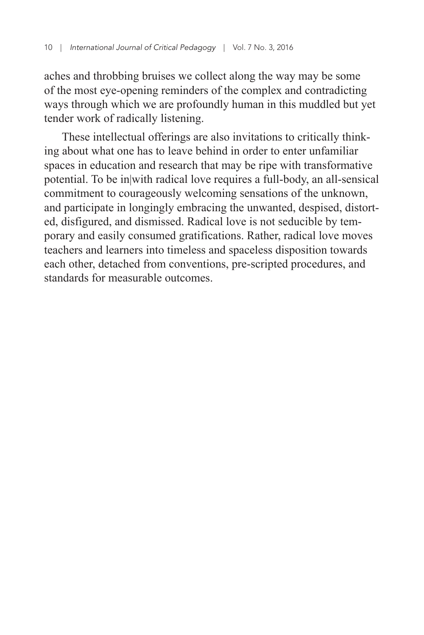aches and throbbing bruises we collect along the way may be some of the most eye-opening reminders of the complex and contradicting ways through which we are profoundly human in this muddled but yet tender work of radically listening.

These intellectual offerings are also invitations to critically thinking about what one has to leave behind in order to enter unfamiliar spaces in education and research that may be ripe with transformative potential. To be in|with radical love requires a full-body, an all-sensical commitment to courageously welcoming sensations of the unknown, and participate in longingly embracing the unwanted, despised, distorted, disfigured, and dismissed. Radical love is not seducible by temporary and easily consumed gratifications. Rather, radical love moves teachers and learners into timeless and spaceless disposition towards each other, detached from conventions, pre-scripted procedures, and standards for measurable outcomes.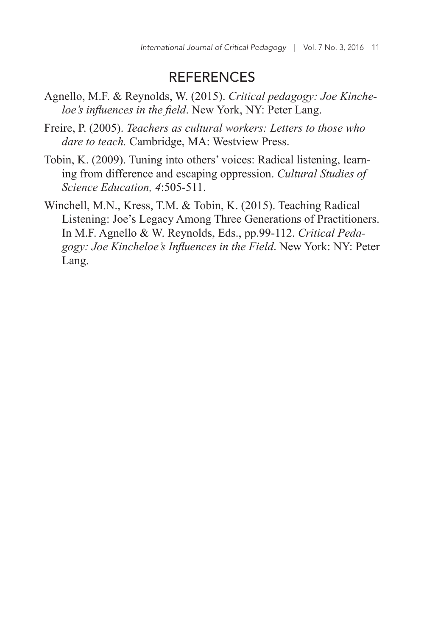#### **REFERENCES**

- Agnello, M.F. & Reynolds, W. (2015). *Critical pedagogy: Joe Kincheloe's influences in the field*. New York, NY: Peter Lang.
- Freire, P. (2005). *Teachers as cultural workers: Letters to those who dare to teach.* Cambridge, MA: Westview Press.
- Tobin, K. (2009). Tuning into others' voices: Radical listening, learning from difference and escaping oppression. *Cultural Studies of Science Education, 4*:505-511.
- Winchell, M.N., Kress, T.M. & Tobin, K. (2015). Teaching Radical Listening: Joe's Legacy Among Three Generations of Practitioners. In M.F. Agnello & W. Reynolds, Eds., pp.99-112. *Critical Pedagogy: Joe Kincheloe's Influences in the Field*. New York: NY: Peter Lang.